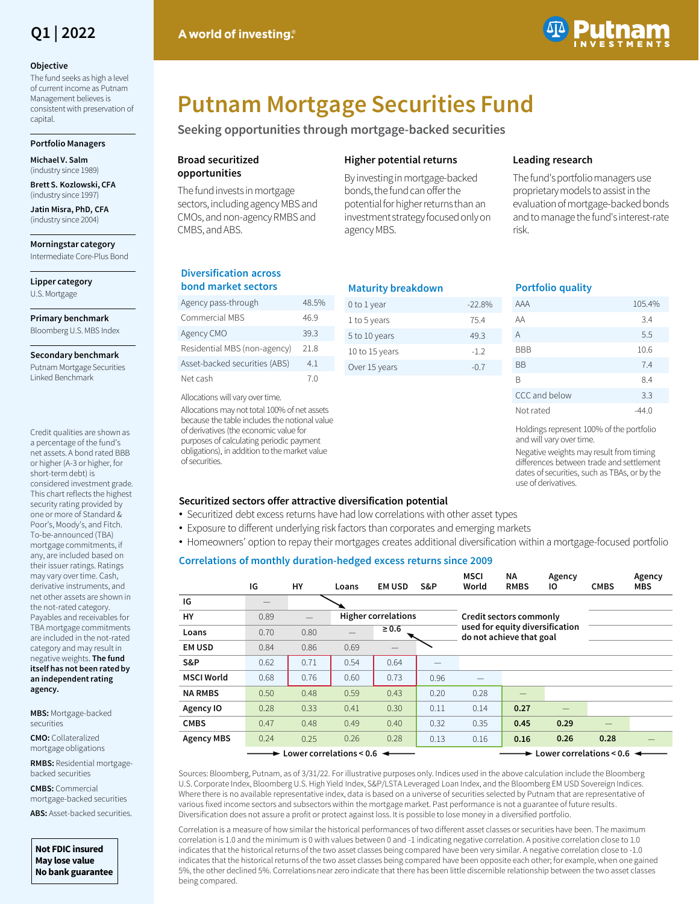

#### **Objective**

The fund seeks as high a level of current income as Putnam Management believes is consistent with preservation of capital.

#### **Portfolio Managers**

**Michael V. Salm**  (industry since 1989)

**Brett S. Kozlowski, CFA**  (industry since 1997)

**Jatin Misra, PhD, CFA**  (industry since 2004)

**Morningstar category** Intermediate Core-Plus Bond

**Lipper category** U.S. Mortgage

**Primary benchmark**

Bloomberg U.S. MBS Index

**Secondary benchmark**

Putnam Mortgage Securities Linked Benchmark

Credit qualities are shown as a percentage of the fund's net assets. A bond rated BBB or higher (A-3 or higher, for short-term debt) is considered investment grade. This chart reflects the highest security rating provided by one or more of Standard & Poor's, Moody's, and Fitch. To-be-announced (TBA) mortgage commitments, if any, are included based on their issuer ratings. Ratings may vary over time. Cash, derivative instruments, and net other assets are shown in the not-rated category. Payables and receivables for TBA mortgage commitments are included in the not-rated category and may result in negative weights. **The fund itself has not been rated by an independent rating agency.** 

**MBS:** Mortgage-backed securities

**CMO:** Collateralized mortgage obligations

**RMBS:** Residential mortgagebacked securities

**CMBS:** Commercial mortgage-backed securities

**ABS:** Asset-backed securities.

**Not FDIC insured May lose value No bank guarantee**



# **Putnam Mortgage Securities Fund**

**Seeking opportunities through mortgage-backed securities**

## **Broad securitized opportunities**

The fund invests in mortgage sectors, including agency MBS and CMOs, and non-agency RMBS and CMBS, and ABS.

# **Higher potential returns**

By investing in mortgage-backed bonds, the fund can offer the potential for higher returns than an investment strategy focused only on agency MBS.

# **Leading research**

The fund's portfolio managers use proprietary models to assist in the evaluation of mortgage-backed bonds and to manage the fund's interest-rate risk.

## **Diversification across bond market sectors**

| Agency pass-through           | 48.5% |
|-------------------------------|-------|
| Commercial MBS                | 46.9  |
| Agency CMO                    | 393   |
| Residential MBS (non-agency)  | 21 R  |
| Asset-backed securities (ABS) | 41    |
| Net cash                      | ′ ( ) |

Allocations will vary over time. Allocations may not total 100% of net assets because the table includes the notional value of derivatives (the economic value for purposes of calculating periodic payment obligations), in addition to the market value of securities.

| <b>Maturity breakdown</b> |          |
|---------------------------|----------|
| 0 to 1 year               | $-22.8%$ |
| 1 to 5 years              | 75.4     |
| 5 to 10 years             | 49.3     |
| 10 to 15 years            | $-12$    |
| Over 15 years             | $-0.7$   |
|                           |          |

#### **Portfolio quality**

| AAA           | 105.4% |
|---------------|--------|
| AA            | 3.4    |
| A             | 5.5    |
| BBB           | 10.6   |
| <b>BB</b>     | 7.4    |
| R             | 8.4    |
| CCC and below | 3.3    |
| Not rated     | -44.0  |

Holdings represent 100% of the portfolio and will vary over time.

Negative weights may result from timing differences between trade and settlement dates of securities, such as TBAs, or by the use of derivatives.

#### **Securitized sectors offer attractive diversification potential**

- Securitized debt excess returns have had low correlations with other asset types
- Exposure to different underlying risk factors than corporates and emerging markets
- Homeowners' option to repay their mortgages creates additional diversification within a mortgage-focused portfolio

#### **Correlations of monthly duration-hedged excess returns since 2009**

|                   | IG                                                   | HY   | Loans | <b>EM USD</b>              | S&P                                                         | <b>MSCI</b><br>World | NA<br><b>RMBS</b>       | Agency<br>10                                                        | <b>CMBS</b> | Agency<br><b>MBS</b> |
|-------------------|------------------------------------------------------|------|-------|----------------------------|-------------------------------------------------------------|----------------------|-------------------------|---------------------------------------------------------------------|-------------|----------------------|
| IG                |                                                      |      |       |                            |                                                             |                      |                         |                                                                     |             |                      |
| HY                | 0.89                                                 |      |       | <b>Higher correlations</b> |                                                             |                      | Credit sectors commonly |                                                                     |             |                      |
| Loans             | 0.70                                                 | 0.80 |       | $\geq 0.6$                 | used for equity diversification<br>do not achieve that goal |                      |                         |                                                                     |             |                      |
| <b>EM USD</b>     | 0.84                                                 | 0.86 | 0.69  |                            |                                                             |                      |                         |                                                                     |             |                      |
| S&P               | 0.62                                                 | 0.71 | 0.54  | 0.64                       |                                                             |                      |                         |                                                                     |             |                      |
| <b>MSCI World</b> | 0.68                                                 | 0.76 | 0.60  | 0.73                       | 0.96                                                        |                      |                         |                                                                     |             |                      |
| <b>NA RMBS</b>    | 0.50                                                 | 0.48 | 0.59  | 0.43                       | 0.20                                                        | 0.28                 | —                       |                                                                     |             |                      |
| Agency IO         | 0.28                                                 | 0.33 | 0.41  | 0.30                       | 0.11                                                        | 0.14                 | 0.27                    |                                                                     |             |                      |
| <b>CMBS</b>       | 0.47                                                 | 0.48 | 0.49  | 0.40                       | 0.32                                                        | 0.35                 | 0.45                    | 0.29                                                                | —           |                      |
| <b>Agency MBS</b> | 0.24                                                 | 0.25 | 0.26  | 0.28                       | 0.13                                                        | 0.16                 | 0.16                    | 0.26                                                                | 0.28        |                      |
|                   | $\rightarrow$ Lower correlations < 0.6 $\rightarrow$ |      |       |                            |                                                             |                      |                         | $\blacktriangleright$ Lower correlations < 0.6 $\blacktriangleleft$ |             |                      |

Sources: Bloomberg, Putnam, as of 3/31/22. For illustrative purposes only. Indices used in the above calculation include the Bloomberg U.S. Corporate Index, Bloomberg U.S. High Yield Index, S&P/LSTA Leveraged Loan Index, and the Bloomberg EM USD Sovereign Indices. Where there is no available representative index, data is based on a universe of securities selected by Putnam that are representative of various fixed income sectors and subsectors within the mortgage market. Past performance is not a guarantee of future results. Diversification does not assure a profit or protect against loss. It is possible to lose money in a diversified portfolio.

Correlation is a measure of how similar the historical performances of two different asset classes or securities have been. The maximum correlation is 1.0 and the minimum is 0 with values between 0 and -1 indicating negative correlation. A positive correlation close to 1.0 indicates that the historical returns of the two asset classes being compared have been very similar. A negative correlation close to -1.0 indicates that the historical returns of the two asset classes being compared have been opposite each other; for example, when one gained 5%, the other declined 5%. Correlations near zero indicate that there has been little discernible relationship between the two asset classes being compared.